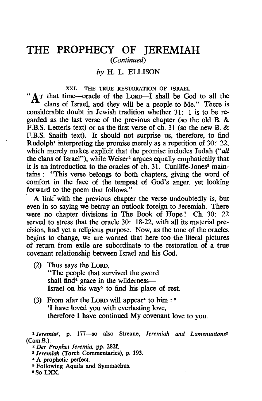# **THE PROPHECY OF JEREMIAH**  (Continued)

### *by* H. L. ELLISON

XXI. THE TRUE RESTORATION OF ISRAEL "AT that time-oracle of the LORD-I shall be God to all the clans of Israel. and they will be a people to Me." There is considerable doubt in Jewish tradition whether 31: 1 is to be regarded as the last verse of the previous chapter (so the old B. & F.B.S. Letteris text) or as the first verse of ch. 31 (so the new B. & F.B.S. Snaith text). It should not surprise us. therefore. to find Rudolph<sup>1</sup> interpreting the promise merely as a repetition of 30: 22, which merely makes explicit that the promise includes Judah *("all* the clans of Israel"), while Weiser<sup>2</sup> argues equally emphatically that it is an introduction to the oracles of ch. 31. Cunliffe-Jones<sup>3</sup> maintains: "This verse belongs to both chapters, giving the word of comfort in the face of the tempest of God's anger. yet looking forward to the poem that follows."

A link with the previous chapter the verse undoubtedly is, but even in so saying we betray an outlook foreign to Jeremiah. There were no chapter divisions in The Book of Hope! Ch. 30: 22 served to stress that the oracle 30: 18-22. with all its material precision, had yet a religious purpose. Now. as the tone of the oracles begins to change. we are warned that here too the literal pictures of return from exile are subordinate to the restoration of a true covenant relationship between Israel and his God.

- (2) Thus says the LORD. "The people that survived the sword shall find $4$  grace in the wilderness-Israel on his way<sup>5</sup> to find his place of rest.
- (3) From afar the LORD will appear<sup>4</sup> to him:  $6$ 'I have loved you with everlasting love. therefore I have continued My covenant love to you.

<sup>1</sup>*Jeremiat,* p. 177-so also Streane, *Jeremiah and Lamentations!*  (Cam.B.).

- <sup>8</sup>*Jeremiah* (Torch Commentaries). p. 193.
- 
- 4 A prophetic perfect. 5 Following Aquila and Symmachus.

6S0 LXX.

*<sup>2</sup> Der Prophet Jeremia,* pp. 282f.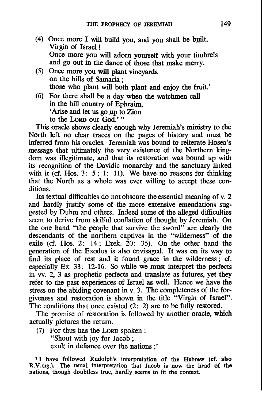- (4) Once more I will build you, and you shall be built, Virgin of Israel ! Once more you will adorn yourself with your timbrels and go out in the dance of those that make merry.
- (5) Once more you will plant vineyards on the hills of Samaria ; those who plant will both plant and enjoy the fruit.'
- (6) For there shall be a day when the watchmen call in the hill country of Ephraim, 'Arise and let us go up to Zion to the LORD our God.'"

This oracle shows clearly enough why Jeremiah's ministry to the North left no clear traces on the pages of history and must be inferred from his oracles. Jeremiah was bound to reiterate Hosea's message that ultimately the very existence of the Northern kingdom was illegitimate, and that its restoration was bound up with its recognition of the Davidic monarchy and the sanctuary linked with it (cf. Hos. 3: 5; 1: 11). We have no reasons for thinking that the North as a whole was ever willing to accept these conditions.

Its textual difficulties do not obscure the essential meaning of v. 2 and hardly justify some of the more extensive emendations suggested by Duhm and others. Indeed some of the alleged difficulties seem to derive from skilful conflation of thought by Jeremiah. On the one hand "the people that survive the sword" are clearly the descendants of the northern captives in the "wilderness" of the exile (cf. Hos. 2:  $14$ ; Ezek.  $20$ : 35). On the other hand the generation of the Exodus is also envisaged. It was on its way to find its place of rest and it found grace in the wilderness; cf. especially Ex. 33: 12-16. So while we must interpret the perfects in vv. 2, 3 as prophetic perfects and translate as futures, yet they refer to the past experiences of Israel as well. Hence we have the stress on the abiding covenant in v. 3. The completeness of the forgiveness and restoration is shown in the title "Virgin of Israel". The conditions that once existed (2: 2) are to be fully restored.

The promise of restoration is followed by another oracle, which actually pictures the return.

(7) For thus has the LORD spoken :

"Shout with joy for Jacob ;

exult in defiance over the nations :<sup>7</sup>

7 I have followed Rudolph's interpretation of the Hebrew (cf. also R.V.mg.). The usual interpretation that Jacob is now the head of the nations, though doubtless true, hardly seems to fit the context.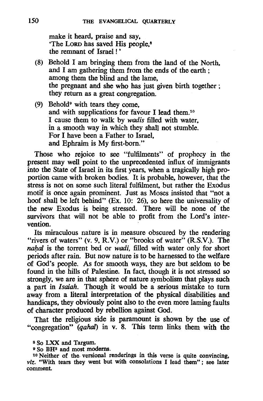make it heard. praise and say, 'The Lorn has saved His people.<sup>8</sup> the remnant of Israel! '

- (8) Behold I am bringing them from the land of the North. and I am gathering them from the ends of the earth; among them the blind and the lame. the pregnant and she who has just given birth together; they return as a great congregation.
- (9) Behold<sup>9</sup> with tears they come, and with supplications for favour I lead them.<sup>10</sup> I cause them to walk by *wadis* filled with water, in a smooth way in which they shall not stumble. For I have been a Father to Israel, and Ephraim is My first-born."

Those who rejoice to see "fulfilments" of prophecy in the present may well point to the unprecedented influx of immigrants into the State of Israel in its first years. when a tragically high proportion came with broken bodies. It is probable. however. that the stress is not on some such literal fulfilment. but rather the Exodus motif is once again prominent. Just as Moses insisted that "not a hoof shall be left behind" (Ex. 10: 26). so here the universality of the new Exodus is being stressed. There will be none of the survivors that will not be able to profit from the Lord's intervention.

Its miraculous nature is in measure obscured by the rendering "rivers of waters" (v. 9, R.V.) or "brooks of water" (R.S.V.). The *nahal* is the torrent bed or *wadi*, filled with water only for short periods after rain. But now nature is to be harnessed to the welfare of God's people. As for smooth ways, they are but seldom to be found in the hills of Palestine. In fact, though it is not stressed so strongly. we are in that sphere of nature symbolism that plays such a part in *Isaiah.* Though it would be a serious mistake to turn away from a literal interpretation of the physical disabilities and handicaps. they obviously point also to the even more laming faults of character produced by rebellion against God.

That the religious side is paramount is shown by the use of "congregation" (*qahal*) in v. 8. This term links them with the

<sup>8</sup> So LXX and Targum.<br>9 So BH<sup>3</sup> and most moderns.<br><sup>10</sup> Neither of the~ versional renderings in this verse is quite convincing, viz. "With tears they went but with consolations I lead them"; see later comment.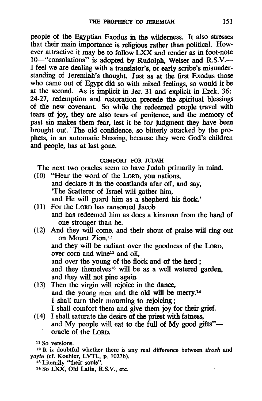people of the Egyptian Exodus in the wilderness. It also stresses that their main importance is religious rather than political. However attractive it may be to follow LXX and render as in foot-note 10-"consolations" is adopted by Rudolph. Weiser and R.S.V.-I feel we are dealing with a translator's, or early scribe's misunderstanding of Jeremiah's thought. Just as at the first Exodus those who came out of Egypt did so with mixed feelings, so would it be at the second. As is implicit in Jer. 31 and explicit in Ezek. 36: 24-27, redemption and restoration precede the spiritual blessings of the new covenant. So while the redeemed people travel with tears of joy. they are also tears of penitence. and the memory of past sin makes them fear. lest it be for judgment they have been brought out. The old confidence. so bitterly attacked by the prophets. in an automatic blessing. because they were God's children and people. has at last gone.

#### COMFORT FOR JUDAH

The next two oracles seem to have Judah primarily in mind.

- (10) "Hear the word of the LoRD, you nations. and declare it in the coastlands afar off, and say, 'The Scatterer of Israel will gather him. and He will guard him as a shepherd his flock.'
- (11) For the LoRD has ransomed Jacob and has redeemed him as does a kinsman from the hand of one stronger than he.
- (12) And they will come. and their shout of praise will ring out on Mount Zion,<sup>11</sup> and they will be radiant over the goodness of the LoRD,

over corn and wine<sup>12</sup> and oil.

and over the young of the flock and of the herd ;

and they themelves<sup>13</sup> will be as a well watered garden. and they will not pine again.

- (13) Then the virgin will rejoice in the dance. and the young men and the old will be merry.14 I shall turn their mourning to rejoicing; I shall comfort them and give them joy for their grief.
- (14) I shall saturate the desire of the priest with fatness. and My people will eat to the full of My good gifts"-oracle of the LoRD.

<sup>12</sup>It is doubtful whether there is any real difference between *tirosh* and yayin (cf. Koehler, LVTL, p. 1027b).<br><sup>13</sup> Literally "their souls".

14 So LXX, Old Latin, R.S.V., etc.

<sup>11</sup> So versions.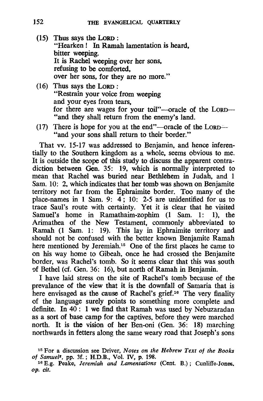- (15) Thus says the LoRD : "Hearken! In Ramah lamentation is heard. bitter weeping. lt is Rachel weeping over her sons. refusing to be comforted. over her sons, for they are no more."
- (16) Thus says the LoRD : "Restrain your voice from weeping and your eyes from tears. for there are wages for your toil"-oracle of the LORD--"and they shall return from the enemy's land.
- (17) There is hope for you at the end"—oracle of the LORD— $-$ "and your sons shall return to their border."

That vv. 15-17 was addressed to Benjamin, and hence inferentially to the Southern kingdom as a whole. seems obvious to me. lt is outside the scope of this study to discuss the apparent contradiction between Gen. 35: 19, which is normally interpreted to mean that Rachel was buried near Bethlehem in Judah, and 1 Sam. 10: 2, which indicates that her tomb was shown on Benjamite territory not far from the Ephraimite border. Too many of the place-names in 1 Sam. 9: 4; 10: 2-5 are unidentified for us to trace Saul's route with certainty. Yet it is clear that he visited Samuel's home in Ramathaim-zophim (1 Sam. 1: I), the Arimathea of the New Testament. commonly abbreviated to Ramah (1 Sam. 1: 19). This lay in Ephraimite territory and should not be confused with the better known Benjamite Ramah here mentioned by Jeremiah.<sup>15</sup> One of the first places he came to on his way home to Gibeah, once he had crossed the Benjamite border, was Rachel's tomb. So it seems clear that this was south 9f Bethel (cf. Gen. 36: 16), but north of Ramah in Benjamin.

I have laid stress on the site of Rachel's tomb because of the prevalance of the view that it is the downfall of Samaria that is here envisaged as the cause of Rachel's grief.<sup>16</sup> The very finality of the language surely points to something more complete and definite. In 40: 1 we find that Ramah was used by Nebuzaradan as a sort of base camp for the captives, before they were marched north. It is the vision of her Ben-oni (Gen. 36: 18) marching northwards in fetters along the same weary road that Joseph's sons

<sup>15</sup> For a discussion see Driver, *Notes on the Hebrew Text of the Books* 

<sup>&</sup>lt;sup>16</sup> E.g. Peake, *Jeremiah and Lamentations* (Cent. B.); Cunliffe-Jones. op. *cit.*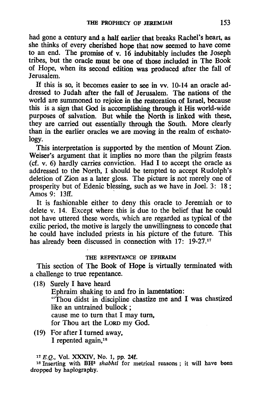had gone a century and a half earlier that breaks Rachel's heart, as she thinks of every cherished hope that now seemed to have come to an end. The promise of v. 16 indubitably includes the Joseph tribes, but the oracle must be one of those included in The Book of Hope, when its second edition was produced after the fall of Jerusalem.

If this is so, it becomes easier to see in vv. 10-14 an oracle addressed to Judah after the fall of Jerusalem. The nations of the world are summoned to rejoice in the restoration of Israel, because this is a sign that God is accomplishing through it His world-wide purposes of salvation. But while the North is linked with these, they are carried out essentially through the South. More clearly than in the earlier oracles we are moving in the realm of eschatology.

This interpretation is supported by the mention of Mount Zion. Weiser's argument that it implies no more than the pilgrim feasts (cf. v. 6) hardly carries conviction. Had I to accept the oracle as addressed to the North, I should be tempted to accept Rudolph's deletion of Zion as a later gloss. The picture is not merely one of prosperity but of Edenic blessing, such as we have in Joe1. 3: 18; Amos 9: 13ff.

It is fashionable either to deny this oracle to Jeremiah or to delete v. 14. Except where this is due to the belief that he could not have uttered these words, which are regarded as typical of the exilic period, the motive is largely the unwillingness to concede that he could have included priests in his picture of the future. This has already been discussed in connection with 17: 19-27.<sup>17</sup>

#### THE REPENTANCE OF EPHRAIM

This section of The Book of Hope is virtually terminated with a challenge to true repentance.

(18) Surely I have heard

Ephraim shaking to and fro in lamentation: "Thou didst in discipline chastize me and I was chastized like an untrained bullock ; cause me to turn that I may turn, for Thou art the LoRD my God.

(19) For after I turned away, I repented again, $18$ 

<sup>17</sup> E.Q., Vol. XXXIV, No. 1, pp. 24f.<br><sup>18</sup> Inserting with BH<sup>3</sup> *shabhti* for metrical reasons; it will have been dropped by haplography.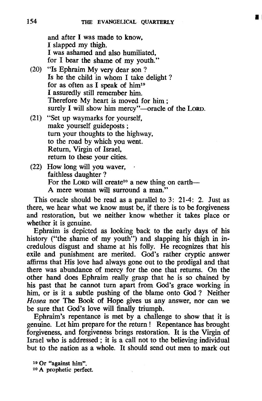**1** 

and after I was made to know, I slapped my thigh. I was ashamed and also humiliated, for I bear the shame of my youth."

- (20) "Is Ephraim My very dear son ? Is he the child in whom I take delight? for as often as I speak of  $him<sup>19</sup>$ I assuredly still remember him. Therefore My heart is moved for him; surely I will show him mercy"-oracle of the LORD.
- (21) "Set up waymarks for yourself, make yourself guideposts; turn your thoughts to the highway, to the road by which you went. Return, Virgin of Israel, return to these your cities.
- (22) How long will you waver, faithless daughter ? For the LORD will create<sup>20</sup> a new thing on earth--A mere woman will surround a man."

This oracle should be read as a parallel to 3: 21-4: 2. Just as there, we hear what we know must be, if there is to be forgiveness and restoration, but we neither know whether it takes place or whether it is genuine.

Ephraim is depicted as looking back to the early days of his history ("the shame of my youth") and slapping his thigh in incredulous disgust and shame at his folly. He recognizes that his exile and punishment are merited. God's rather cryptic answer affirms that His love had always gone out to the prodigal and that there was abundance of mercy for the one that returns. On the other hand does Ephraim really grasp that he is so chained by his past that he cannot turn apart from God's grace working in him, or is it a subtle pushing of the blame onto God? Neither *Hosea* nor The Book of Hope gives us any answer, nor can we be sure that God's love will finally triumph.

Ephraim's repentance is met by a challenge to show that it is genuine. Let him prepare for the return! Repentance has brought forgiveness, and forgiveness brings restoration. It is the Virgin of Israel who is addressed; it is a call not to the believing individual but to the nation as a whole. It should send out men to mark out

<sup>19</sup> Or "against him".<br><sup>20</sup> A prophetic perfect.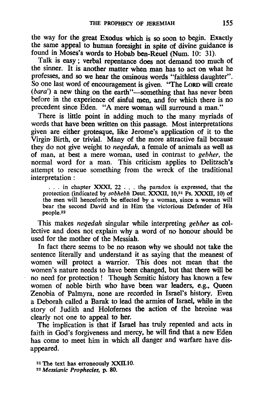the way for the great Exodus which is so soon to begin. Exactly the same appeal to human foresight in spite of divine guidance is found in Moses's words to Hobab ben-Reuel (Num. 10: 31).

Talk is easy; verbal repentance does not demand too much of the sinner. It is another matter when man has to act on what he professes, and so we hear the ominous words "faithless daughter". So one last word of encouragement is given. "The LORD will create *(bara')* a new thing on the earth"-something that has never been before in the experience of sinful men, and for which there is no precedent since Eden. "A mere woman will surround a man."

There is little point in adding much to the many myriads of words that have been written on this passage. Most interpretations given are either grotesque, like lerome's application of it to the Virgin Birth, or trivial. Many of the more attractive fail because they do not give weight to *neqedah,* a female of animals as well as of man, at best a mere woman, used in contrast to *gebher,* the normal word for a man. This criticism applies to Delitzsch's attempt to rescue something from the wreck of the traditional interpretation:

. . . in chapter XXXI, 22 . . . the paradox is expressed, that the protection (indicated by *sobhebh* Deut. XXXII, 10,21 Ps. XXXII, 10) of the men will henceforth be effected by a woman, since a woman will bear the second David and in Him the victorious Defender of His people.22

This makes *neqedah* singular while interpreting *gebher* as collective and does not explain why a word of no honour should be used for the mother of the Messiah.

In fact there seems to be no reason why we should not take the sentence literally and understand it as saying that the meanest of women will protect a warrior. This does not mean that the women's nature needs to have been changed, but that there will be no need for protection! Though Semitic history has known a few women of noble birth who have been war leaders. e.g.. Queen Zenobia of PaImyra, none are recorded in Israel's history. Even a Deborah called a Barak to lead the armies of Israel, while in the story of Judith and Holofernes the action of the heroine was clearly not one to appeal to her.

The implication is that if Israel has truly repented and acts in faith in God's forgiveness and mercy, he will find that a new Eden has come to meet him in which all danger and warfare have disappeared.

<sup>21</sup> The text has erroneously XXll.lO.

<sup>22</sup> *Messianic Prophecies,* p. 80.